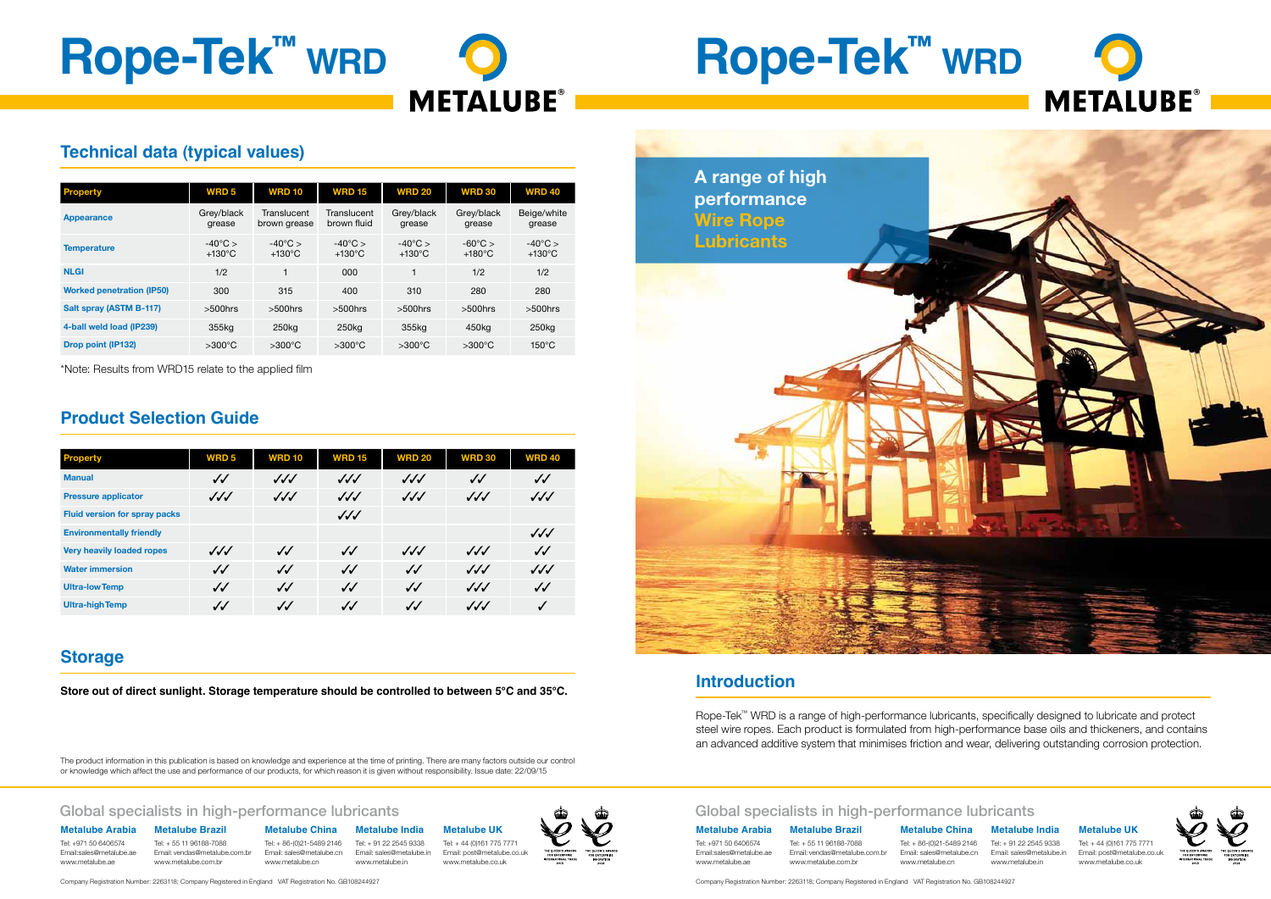# **Rope-Tek™ wrd**



Company Registration Number: 2263118; Company Registered in England VAT Registration No. GB108244927

## Global specialists in high-performance lubricants

#### **Metalube Brazil** Tel: + 55 11 96188-7088

Email: vendas@metalube.com.br www.metalube.com.br

**Metalube China** Tel: + 86-(0)21-5489 2146 Tel: + 91 22 2545 9338 Email: sales@metalube.cn Email: sales@metalube.in **Metalube India**

www.metalube.cn www.metalube.in

**Metalube UK** Tel: + 44 (0)161 775 7771 Email: post@metalube.co.uk www.metalube.co.uk

**Metalube Arabia** Tel: +971 50 6406574

Email:sales@metalube.ae www.metalube.ae

# **Rope-Tek™ wrd**

Company Registration Number: 2263118; Company Registered in England VAT Registration No. GB108244927

## Global specialists in high-performance lubricants

**Metalube Brazil** Tel: + 55 11 96188-7088 www.metalube.com.br

#### **Metalube China**

Tel: + 86-(0)21-5489 2146 Tel: + 91 22 2545 9338 Email: sales@metalube.cn www.metalube.cn

### **Metalube India**







Email: sales@metalube.in www.metalube.in

#### **Metalube UK**

Tel: + 44 (0)161 775 7771 Email: post@metalube.co.uk www.metalube.co.uk



**Metalube Arabia** Tel: +971 50 6406574

# **Technical data (typical values)**

| <b>Property</b>                  | <b>WRD5</b>                             | <b>WRD 10</b>                           | <b>WRD 15</b>                         | <b>WRD 20</b>                         | <b>WRD 30</b>                           | <b>WRD 40</b>                         |
|----------------------------------|-----------------------------------------|-----------------------------------------|---------------------------------------|---------------------------------------|-----------------------------------------|---------------------------------------|
| <b>Appearance</b>                | Grey/black<br>grease                    | Translucent<br>brown grease             | Translucent<br>brown fluid            | Grey/black<br>grease                  | Grey/black<br>grease                    | Beige/white<br>grease                 |
| <b>Temperature</b>               | $-40^{\circ}$ C $>$<br>$+130^{\circ}$ C | $-40^{\circ}$ C $>$<br>$+130^{\circ}$ C | $-40^{\circ}$ C ><br>$+130^{\circ}$ C | $-40^{\circ}$ C ><br>$+130^{\circ}$ C | $-60^{\circ}$ C $>$<br>$+180^{\circ}$ C | $-40^{\circ}$ C ><br>$+130^{\circ}$ C |
| <b>NLGI</b>                      | 1/2                                     | 1                                       | 000                                   |                                       | 1/2                                     | 1/2                                   |
| <b>Worked penetration (IP50)</b> | 300                                     | 315                                     | 400                                   | 310                                   | 280                                     | 280                                   |
| Salt spray (ASTM B-117)          | $>500$ hrs                              | $>500$ hrs                              | $>500$ hrs                            | $>500$ hrs                            | $>500$ hrs                              | $>500$ hrs                            |
| 4-ball weld load (IP239)         | 355kg                                   | 250 <sub>kg</sub>                       | 250 <sub>kg</sub>                     | 355kg                                 | 450kg                                   | 250 <sub>kg</sub>                     |
| <b>Drop point (IP132)</b>        | $>300^{\circ}$ C                        | $>300^{\circ}$ C                        | $>300^{\circ}$ C                      | $>300^{\circ}$ C                      | $>300^{\circ}$ C                        | $150^{\circ}$ C                       |

\*Note: Results from WRD15 relate to the applied film

# **Product Selection Guide**

| <b>Property</b>                      | <b>WRD5</b>            | <b>WRD 10</b>     | <b>WRD 15</b>     | <b>WRD 20</b>     | <b>WRD 30</b>    | <b>WRD 40</b>     |
|--------------------------------------|------------------------|-------------------|-------------------|-------------------|------------------|-------------------|
| <b>Manual</b>                        | $\checkmark$           | $\sqrt{\sqrt{}}$  | $\sqrt{\sqrt{}}$  | $\sqrt{\sqrt{}}$  | $\checkmark$     | $\checkmark$      |
| <b>Pressure applicator</b>           | $\sqrt{\sqrt{}}$       | $\sqrt{\sqrt{}}$  | $\sqrt{\sqrt{}}$  | $\sqrt{\sqrt{}}$  | $\sqrt{\sqrt{}}$ | $\sqrt{\sqrt{}}$  |
| <b>Fluid version for spray packs</b> |                        |                   | $\sqrt{\sqrt{}}$  |                   |                  |                   |
| <b>Environmentally friendly</b>      |                        |                   |                   |                   |                  | $\sqrt{\sqrt{}}$  |
| <b>Very heavily loaded ropes</b>     | $\checkmark\checkmark$ | $\checkmark$      | $\sqrt{\sqrt{2}}$ | $\sqrt{\sqrt{}}$  | $\sqrt{\sqrt{}}$ | $\sqrt{\sqrt{2}}$ |
| <b>Water immersion</b>               | $\checkmark$           | $\sqrt{\sqrt{2}}$ | $\sqrt{\sqrt{2}}$ | $\sqrt{\sqrt{2}}$ | $\sqrt{\sqrt{}}$ | $\sqrt{\sqrt{}}$  |
| <b>Ultra-low Temp</b>                | $\checkmark$           | $\sqrt{2}$        | $\sqrt{\sqrt{2}}$ | $\checkmark$      | $\sqrt{\sqrt{}}$ | $\checkmark$      |
| <b>Ultra-high Temp</b>               | $\checkmark$           | $J\mathcal{J}$    | $\checkmark$      | $\checkmark$      | $\sqrt{\sqrt{}}$ | ✓                 |

# **Storage**

**Store out of direct sunlight. Storage temperature should be controlled to between 5°C and 35°C.**

The product information in this publication is based on knowledge and experience at the time of printing. There are many factors outside our control or knowledge which affect the use and performance of our products, for which reason it is given without responsibility. Issue date: 22/09/15

**Introduction**

Rope-Tek™ WRD is a range of high-performance lubricants, specifically designed to lubricate and protect steel wire ropes. Each product is formulated from high-performance base oils and thickeners, and contains an advanced additive system that minimises friction and wear, delivering outstanding corrosion protection.

**A range of high** 

**performance** 

**Wire Rope** 

**Lubricants**